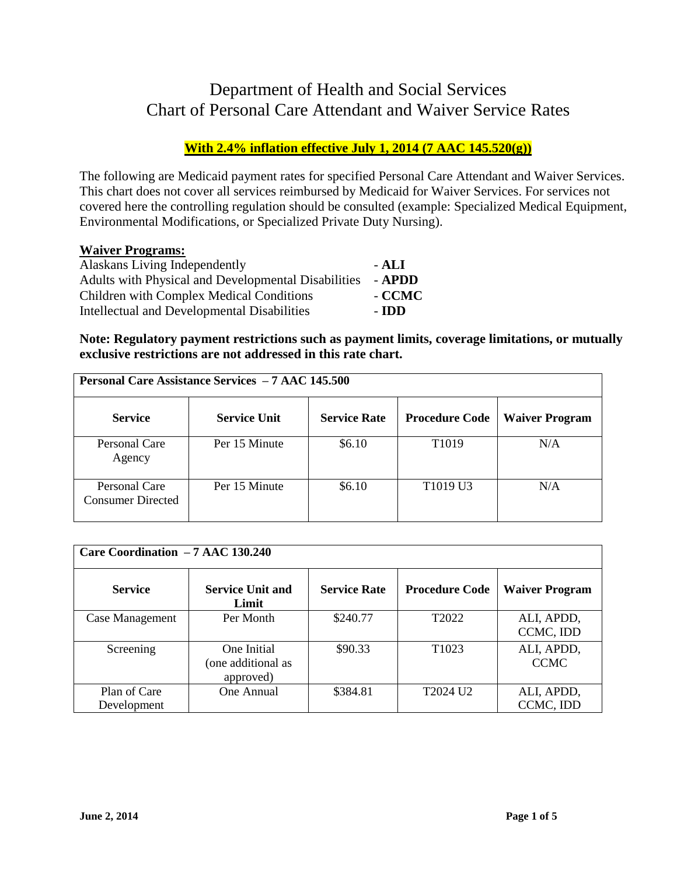## Department of Health and Social Services Chart of Personal Care Attendant and Waiver Service Rates

## **With 2.4% inflation effective July 1, 2014 (7 AAC 145.520(g))**

The following are Medicaid payment rates for specified Personal Care Attendant and Waiver Services. This chart does not cover all services reimbursed by Medicaid for Waiver Services. For services not covered here the controlling regulation should be consulted (example: Specialized Medical Equipment, Environmental Modifications, or Specialized Private Duty Nursing).

## **Waiver Programs:**

| Alaskans Living Independently                       | - ALI  |
|-----------------------------------------------------|--------|
| Adults with Physical and Developmental Disabilities | - APDD |
| Children with Complex Medical Conditions            | - CCMC |
| Intellectual and Developmental Disabilities         | - IDD  |

**Note: Regulatory payment restrictions such as payment limits, coverage limitations, or mutually exclusive restrictions are not addressed in this rate chart.** 

| <b>Personal Care Assistance Services - 7 AAC 145.500</b> |                     |                     |                                  |                       |
|----------------------------------------------------------|---------------------|---------------------|----------------------------------|-----------------------|
| <b>Service</b>                                           | <b>Service Unit</b> | <b>Service Rate</b> | <b>Procedure Code</b>            | <b>Waiver Program</b> |
| Personal Care<br>Agency                                  | Per 15 Minute       | \$6.10              | T <sub>1019</sub>                | N/A                   |
| Personal Care<br><b>Consumer Directed</b>                | Per 15 Minute       | \$6.10              | T <sub>1019</sub> U <sub>3</sub> | N/A                   |

| Care Coordination - 7 AAC 130.240 |                                                |                     |                       |                           |
|-----------------------------------|------------------------------------------------|---------------------|-----------------------|---------------------------|
| <b>Service</b>                    | <b>Service Unit and</b><br>Limit               | <b>Service Rate</b> | <b>Procedure Code</b> | <b>Waiver Program</b>     |
| Case Management                   | Per Month                                      | \$240.77            | T <sub>2022</sub>     | ALI, APDD,<br>CCMC, IDD   |
| Screening                         | One Initial<br>(one additional as<br>approved) | \$90.33             | T <sub>1023</sub>     | ALI, APDD,<br><b>CCMC</b> |
| Plan of Care<br>Development       | One Annual                                     | \$384.81            | T2024 U <sub>2</sub>  | ALI, APDD,<br>CCMC, IDD   |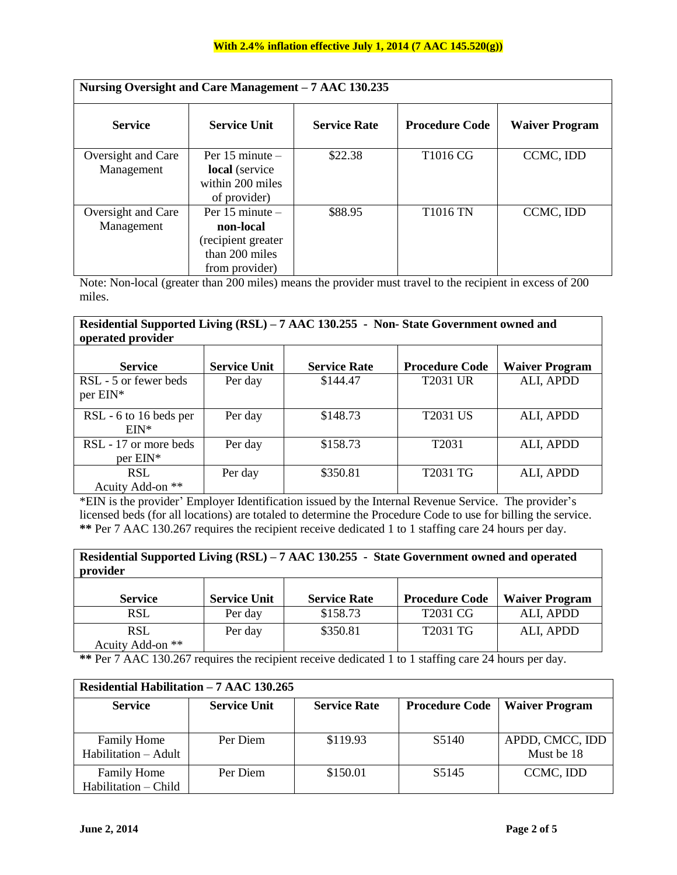| Nursing Oversight and Care Management - 7 AAC 130.235 |                                                                                            |                     |                       |                       |
|-------------------------------------------------------|--------------------------------------------------------------------------------------------|---------------------|-----------------------|-----------------------|
| <b>Service</b>                                        | <b>Service Unit</b>                                                                        | <b>Service Rate</b> | <b>Procedure Code</b> | <b>Waiver Program</b> |
| Oversight and Care<br>Management                      | Per $15$ minute $-$<br>local (service<br>within 200 miles<br>of provider)                  | \$22.38             | T <sub>1016</sub> CG  | CCMC, IDD             |
| Oversight and Care<br>Management                      | Per $15$ minute $-$<br>non-local<br>(recipient greater<br>than 200 miles<br>from provider) | \$88.95             | T1016 TN              | CCMC, IDD             |

Note: Non-local (greater than 200 miles) means the provider must travel to the recipient in excess of 200 miles.

| Residential Supported Living (RSL) – 7 AAC 130.255 - Non-State Government owned and<br>operated provider |                     |                     |                       |                       |
|----------------------------------------------------------------------------------------------------------|---------------------|---------------------|-----------------------|-----------------------|
| <b>Service</b>                                                                                           | <b>Service Unit</b> | <b>Service Rate</b> | <b>Procedure Code</b> | <b>Waiver Program</b> |
| RSL - 5 or fewer beds<br>per EIN*                                                                        | Per day             | \$144.47            | <b>T2031 UR</b>       | ALI, APDD             |
| RSL - 6 to 16 beds per<br>$EIN*$                                                                         | Per day             | \$148.73            | <b>T2031 US</b>       | ALI, APDD             |
| RSL - 17 or more beds<br>$per$ EIN*                                                                      | Per day             | \$158.73            | T <sub>2031</sub>     | ALI, APDD             |
| <b>RSL</b><br>Acuity Add-on **                                                                           | Per day             | \$350.81            | T2031 TG              | ALI, APDD             |

\*EIN is the provider' Employer Identification issued by the Internal Revenue Service. The provider's licensed beds (for all locations) are totaled to determine the Procedure Code to use for billing the service. **\*\*** Per 7 AAC 130.267 requires the recipient receive dedicated 1 to 1 staffing care 24 hours per day.

**Residential Supported Living (RSL) – 7 AAC 130.255 - State Government owned and operated provider**

| <b>Service</b>                 | <b>Service Unit</b> | <b>Service Rate</b> | <b>Procedure Code</b> | <b>Waiver Program</b> |
|--------------------------------|---------------------|---------------------|-----------------------|-----------------------|
| RSL                            | Per day             | \$158.73            | T2031 CG              | ALI, APDD             |
| <b>RSL</b><br>Acuity Add-on ** | Per day             | \$350.81            | T2031 TG              | ALI, APDD             |

**\*\*** Per 7 AAC 130.267 requires the recipient receive dedicated 1 to 1 staffing care 24 hours per day.

| Residential Habilitation - 7 AAC 130.265 |                     |                     |                       |                       |  |
|------------------------------------------|---------------------|---------------------|-----------------------|-----------------------|--|
| <b>Service</b>                           | <b>Service Unit</b> | <b>Service Rate</b> | <b>Procedure Code</b> | <b>Waiver Program</b> |  |
|                                          |                     |                     |                       |                       |  |
| <b>Family Home</b>                       | Per Diem            | \$119.93            | S <sub>5</sub> 140    | APDD, CMCC, IDD       |  |
| Habilitation – Adult                     |                     |                     |                       | Must be 18            |  |
| <b>Family Home</b>                       | Per Diem            | \$150.01            | S <sub>5</sub> 145    | CCMC, IDD             |  |
| Habilitation - Child                     |                     |                     |                       |                       |  |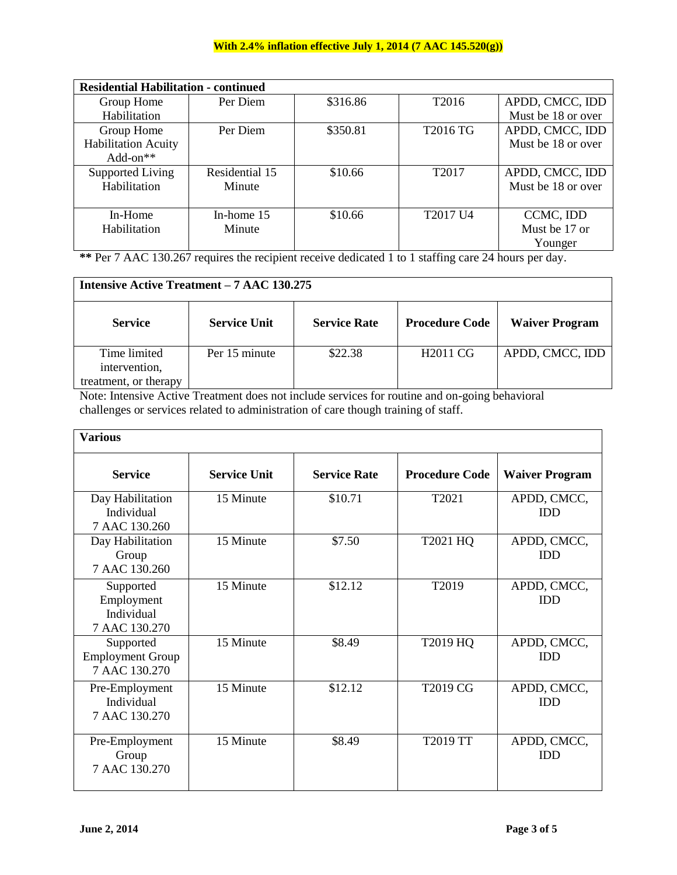## **With 2.4% inflation effective July 1, 2014 (7 AAC 145.520(g))**

| <b>Residential Habilitation - continued</b> |                |          |                   |                    |  |
|---------------------------------------------|----------------|----------|-------------------|--------------------|--|
| Group Home                                  | Per Diem       | \$316.86 | T <sub>2016</sub> | APDD, CMCC, IDD    |  |
| Habilitation                                |                |          |                   | Must be 18 or over |  |
| Group Home                                  | Per Diem       | \$350.81 | T2016 TG          | APDD, CMCC, IDD    |  |
| <b>Habilitation Acuity</b>                  |                |          |                   | Must be 18 or over |  |
| $Add-on**$                                  |                |          |                   |                    |  |
| Supported Living                            | Residential 15 | \$10.66  | T <sub>2017</sub> | APDD, CMCC, IDD    |  |
| Habilitation                                | Minute         |          |                   | Must be 18 or over |  |
|                                             |                |          |                   |                    |  |
| In-Home                                     | In-home $15$   | \$10.66  | T2017 U4          | CCMC, IDD          |  |
| Habilitation                                | Minute         |          |                   | Must be 17 or      |  |
|                                             |                |          |                   | Younger            |  |

**\*\*** Per 7 AAC 130.267 requires the recipient receive dedicated 1 to 1 staffing care 24 hours per day.

| <b>Intensive Active Treatment – 7 AAC 130.275</b>      |                     |                     |                       |                       |
|--------------------------------------------------------|---------------------|---------------------|-----------------------|-----------------------|
| <b>Service</b>                                         | <b>Service Unit</b> | <b>Service Rate</b> | <b>Procedure Code</b> | <b>Waiver Program</b> |
| Time limited<br>intervention,<br>treatment, or therapy | Per 15 minute       | \$22.38             | H <sub>2011</sub> CG  | APDD, CMCC, IDD       |

Note: Intensive Active Treatment does not include services for routine and on-going behavioral challenges or services related to administration of care though training of staff.

| <b>Various</b>                                         |                     |                     |                       |                           |
|--------------------------------------------------------|---------------------|---------------------|-----------------------|---------------------------|
| <b>Service</b>                                         | <b>Service Unit</b> | <b>Service Rate</b> | <b>Procedure Code</b> | <b>Waiver Program</b>     |
| Day Habilitation<br>Individual<br>7 AAC 130.260        | 15 Minute           | \$10.71             | T2021                 | APDD, CMCC,<br><b>IDD</b> |
| Day Habilitation<br>Group<br>7 AAC 130.260             | 15 Minute           | \$7.50              | T2021 HQ              | APDD, CMCC,<br><b>IDD</b> |
| Supported<br>Employment<br>Individual<br>7 AAC 130.270 | 15 Minute           | \$12.12             | T2019                 | APDD, CMCC,<br><b>IDD</b> |
| Supported<br><b>Employment Group</b><br>7 AAC 130.270  | 15 Minute           | \$8.49              | T2019 HQ              | APDD, CMCC,<br><b>IDD</b> |
| Pre-Employment<br>Individual<br>7 AAC 130.270          | 15 Minute           | \$12.12             | T2019 CG              | APDD, CMCC,<br><b>IDD</b> |
| Pre-Employment<br>Group<br>7 AAC 130.270               | 15 Minute           | \$8.49              | T2019 TT              | APDD, CMCC,<br><b>IDD</b> |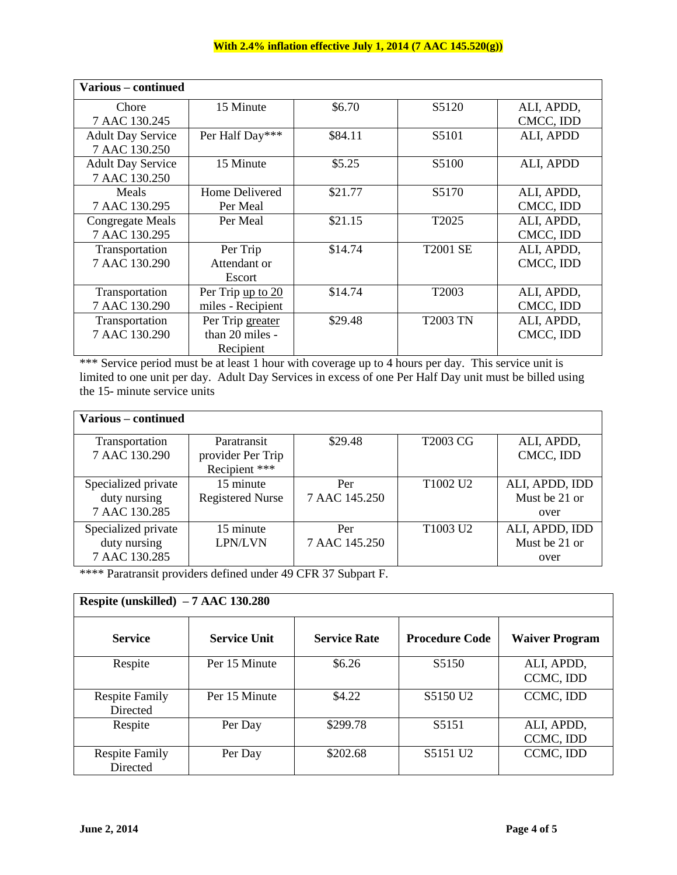| Various – continued      |                   |         |                    |            |
|--------------------------|-------------------|---------|--------------------|------------|
| Chore                    | 15 Minute         | \$6.70  | S <sub>5</sub> 120 | ALI, APDD, |
| 7 AAC 130.245            |                   |         |                    | CMCC, IDD  |
| <b>Adult Day Service</b> | Per Half Day***   | \$84.11 | S5101              | ALI, APDD  |
| 7 AAC 130.250            |                   |         |                    |            |
| <b>Adult Day Service</b> | 15 Minute         | \$5.25  | S5100              | ALI, APDD  |
| 7 AAC 130.250            |                   |         |                    |            |
| Meals                    | Home Delivered    | \$21.77 | S5170              | ALI, APDD, |
| 7 AAC 130.295            | Per Meal          |         |                    | CMCC, IDD  |
| Congregate Meals         | Per Meal          | \$21.15 | T2025              | ALI, APDD, |
| 7 AAC 130.295            |                   |         |                    | CMCC, IDD  |
| Transportation           | Per Trip          | \$14.74 | <b>T2001 SE</b>    | ALI, APDD, |
| 7 AAC 130.290            | Attendant or      |         |                    | CMCC, IDD  |
|                          | Escort            |         |                    |            |
| Transportation           | Per Trip up to 20 | \$14.74 | T2003              | ALI, APDD, |
| 7 AAC 130.290            | miles - Recipient |         |                    | CMCC, IDD  |
| Transportation           | Per Trip greater  | \$29.48 | <b>T2003 TN</b>    | ALI, APDD, |
| 7 AAC 130.290            | than 20 miles -   |         |                    | CMCC, IDD  |
|                          | Recipient         |         |                    |            |

\*\*\* Service period must be at least 1 hour with coverage up to 4 hours per day. This service unit is limited to one unit per day. Adult Day Services in excess of one Per Half Day unit must be billed using the 15- minute service units

| Various – continued |                         |               |                                  |                |
|---------------------|-------------------------|---------------|----------------------------------|----------------|
| Transportation      | Paratransit             | \$29.48       | <b>T2003 CG</b>                  | ALI, APDD,     |
| 7 AAC 130.290       | provider Per Trip       |               |                                  | CMCC, IDD      |
|                     | Recipient ***           |               |                                  |                |
| Specialized private | 15 minute               | Per           | T <sub>1002</sub> U <sub>2</sub> | ALI, APDD, IDD |
| duty nursing        | <b>Registered Nurse</b> | 7 AAC 145.250 |                                  | Must be 21 or  |
| 7 AAC 130.285       |                         |               |                                  | over           |
| Specialized private | 15 minute               | Per           | T <sub>1003</sub> U <sub>2</sub> | ALI, APDD, IDD |
| duty nursing        | <b>LPN/LVN</b>          | 7 AAC 145.250 |                                  | Must be 21 or  |
| 7 AAC 130.285       |                         |               |                                  | over           |

\*\*\*\* Paratransit providers defined under 49 CFR 37 Subpart F.

| Respite (unskilled) $-7$ AAC 130.280 |                     |                     |                       |                         |  |  |
|--------------------------------------|---------------------|---------------------|-----------------------|-------------------------|--|--|
| <b>Service</b>                       | <b>Service Unit</b> | <b>Service Rate</b> | <b>Procedure Code</b> | <b>Waiver Program</b>   |  |  |
| Respite                              | Per 15 Minute       | \$6.26              | S <sub>5</sub> 150    | ALI, APDD,<br>CCMC, IDD |  |  |
| <b>Respite Family</b><br>Directed    | Per 15 Minute       | \$4.22              | S5150 U <sub>2</sub>  | CCMC, IDD               |  |  |
| Respite                              | Per Day             | \$299.78            | S5151                 | ALI, APDD,<br>CCMC, IDD |  |  |
| <b>Respite Family</b><br>Directed    | Per Day             | \$202.68            | S5151 U2              | CCMC, IDD               |  |  |